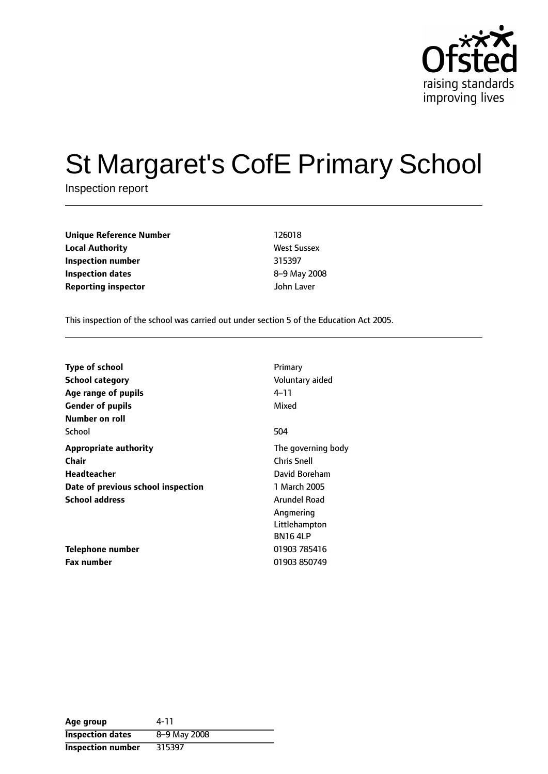

# St Margaret's CofE Primary School

Inspection report

| <b>Unique Reference Number</b> | 126018             |
|--------------------------------|--------------------|
| <b>Local Authority</b>         | <b>West Sussex</b> |
| Inspection number              | 315397             |
| Inspection dates               | 8-9 May 20         |
| <b>Reporting inspector</b>     | John Laver         |

**West Sussex Inspection number** 315397 **Inspection dates** 89 May 2008

This inspection of the school was carried out under section 5 of the Education Act 2005.

| <b>Type of school</b><br><b>School category</b><br>Age range of pupils<br><b>Gender of pupils</b><br>Number on roll | Primary<br>Voluntary aided<br>4–11<br>Mixed                                                                                               |
|---------------------------------------------------------------------------------------------------------------------|-------------------------------------------------------------------------------------------------------------------------------------------|
| School                                                                                                              | 504                                                                                                                                       |
| <b>Appropriate authority</b><br>Chair<br>Headteacher<br>Date of previous school inspection<br><b>School address</b> | The governing body<br><b>Chris Snell</b><br>David Boreham<br>1 March 2005<br>Arundel Road<br>Angmering<br>Littlehampton<br><b>BN164LP</b> |
| Telephone number                                                                                                    | 01903 785416                                                                                                                              |
| <b>Fax number</b>                                                                                                   | 01903 850749                                                                                                                              |

| Age group                | 4-11         |
|--------------------------|--------------|
| <b>Inspection dates</b>  | 8-9 May 2008 |
| <b>Inspection number</b> | 315397       |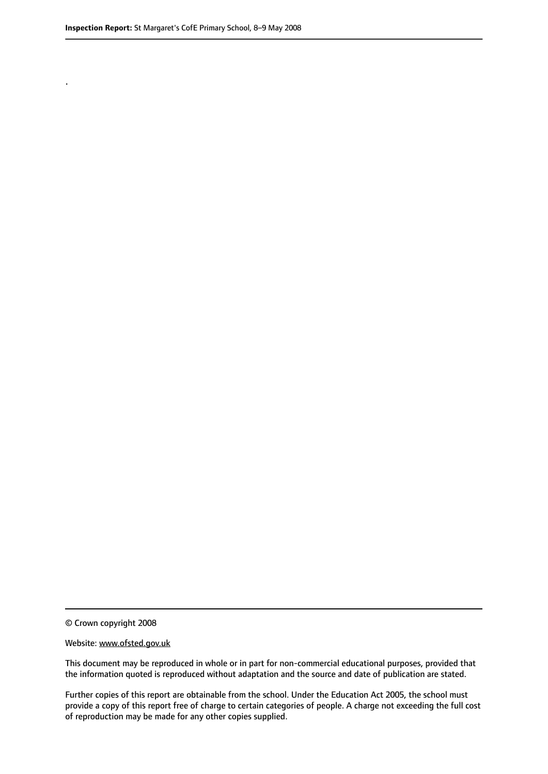.

© Crown copyright 2008

#### Website: www.ofsted.gov.uk

This document may be reproduced in whole or in part for non-commercial educational purposes, provided that the information quoted is reproduced without adaptation and the source and date of publication are stated.

Further copies of this report are obtainable from the school. Under the Education Act 2005, the school must provide a copy of this report free of charge to certain categories of people. A charge not exceeding the full cost of reproduction may be made for any other copies supplied.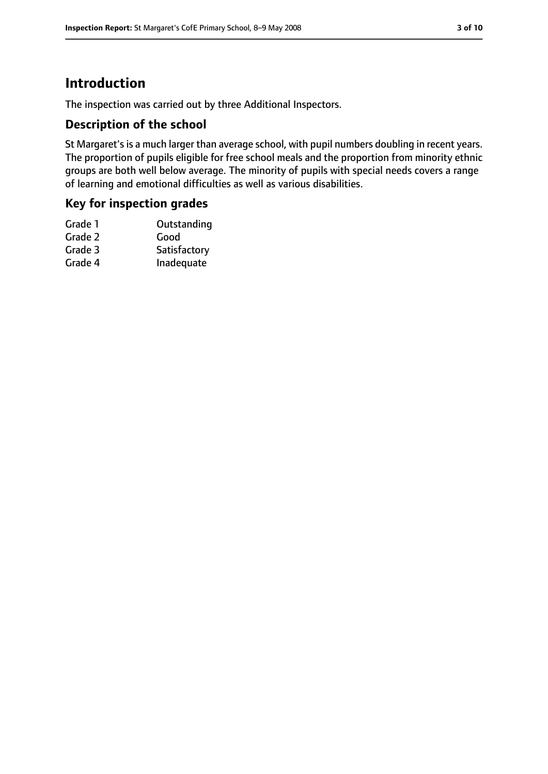# **Introduction**

The inspection was carried out by three Additional Inspectors.

## **Description of the school**

St Margaret's is a much larger than average school, with pupil numbers doubling in recent years. The proportion of pupils eligible for free school meals and the proportion from minority ethnic groups are both well below average. The minority of pupils with special needs covers a range of learning and emotional difficulties as well as various disabilities.

## **Key for inspection grades**

| Grade 1 | Outstanding  |
|---------|--------------|
| Grade 2 | Good         |
| Grade 3 | Satisfactory |
| Grade 4 | Inadequate   |
|         |              |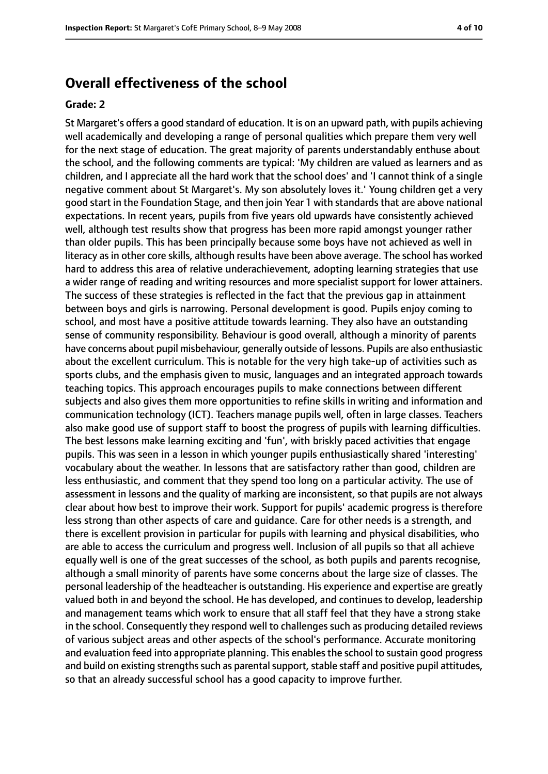# **Overall effectiveness of the school**

#### **Grade: 2**

St Margaret's offers a good standard of education. It is on an upward path, with pupils achieving well academically and developing a range of personal qualities which prepare them very well for the next stage of education. The great majority of parents understandably enthuse about the school, and the following comments are typical: 'My children are valued as learners and as children, and I appreciate all the hard work that the school does' and 'I cannot think of a single negative comment about St Margaret's. My son absolutely loves it.' Young children get a very good start in the Foundation Stage, and then join Year 1 with standards that are above national expectations. In recent years, pupils from five years old upwards have consistently achieved well, although test results show that progress has been more rapid amongst younger rather than older pupils. This has been principally because some boys have not achieved as well in literacy as in other core skills, although results have been above average. The school has worked hard to address this area of relative underachievement, adopting learning strategies that use a wider range of reading and writing resources and more specialist support for lower attainers. The success of these strategies is reflected in the fact that the previous gap in attainment between boys and girls is narrowing. Personal development is good. Pupils enjoy coming to school, and most have a positive attitude towards learning. They also have an outstanding sense of community responsibility. Behaviour is good overall, although a minority of parents have concerns about pupil misbehaviour, generally outside of lessons. Pupils are also enthusiastic about the excellent curriculum. This is notable for the very high take-up of activities such as sports clubs, and the emphasis given to music, languages and an integrated approach towards teaching topics. This approach encourages pupils to make connections between different subjects and also gives them more opportunities to refine skills in writing and information and communication technology (ICT). Teachers manage pupils well, often in large classes. Teachers also make good use of support staff to boost the progress of pupils with learning difficulties. The best lessons make learning exciting and 'fun', with briskly paced activities that engage pupils. This was seen in a lesson in which younger pupils enthusiastically shared 'interesting' vocabulary about the weather. In lessons that are satisfactory rather than good, children are less enthusiastic, and comment that they spend too long on a particular activity. The use of assessment in lessons and the quality of marking are inconsistent, so that pupils are not always clear about how best to improve their work. Support for pupils' academic progress is therefore less strong than other aspects of care and guidance. Care for other needs is a strength, and there is excellent provision in particular for pupils with learning and physical disabilities, who are able to access the curriculum and progress well. Inclusion of all pupils so that all achieve equally well is one of the great successes of the school, as both pupils and parents recognise, although a small minority of parents have some concerns about the large size of classes. The personal leadership of the headteacher is outstanding. His experience and expertise are greatly valued both in and beyond the school. He has developed, and continues to develop, leadership and management teams which work to ensure that all staff feel that they have a strong stake in the school. Consequently they respond well to challenges such as producing detailed reviews of various subject areas and other aspects of the school's performance. Accurate monitoring and evaluation feed into appropriate planning. This enables the school to sustain good progress and build on existing strengths such as parental support, stable staff and positive pupil attitudes, so that an already successful school has a good capacity to improve further.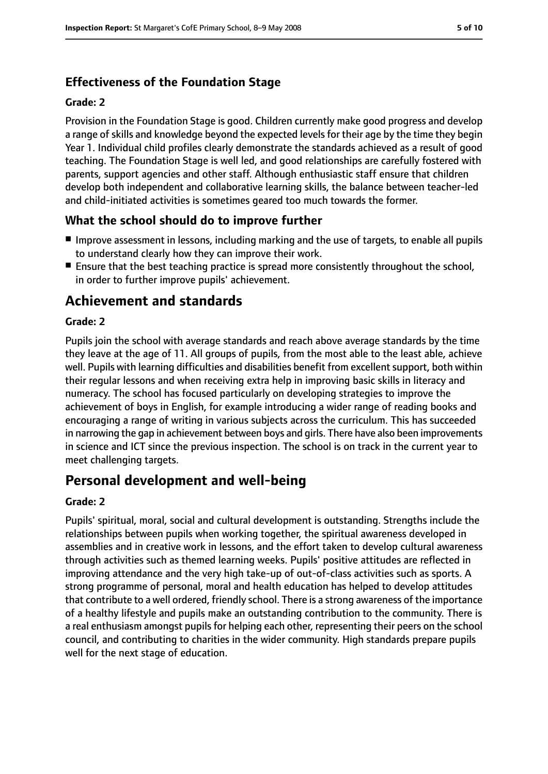# **Effectiveness of the Foundation Stage**

#### **Grade: 2**

Provision in the Foundation Stage is good. Children currently make good progress and develop a range of skills and knowledge beyond the expected levels for their age by the time they begin Year 1. Individual child profiles clearly demonstrate the standards achieved as a result of good teaching. The Foundation Stage is well led, and good relationships are carefully fostered with parents, support agencies and other staff. Although enthusiastic staff ensure that children develop both independent and collaborative learning skills, the balance between teacher-led and child-initiated activities is sometimes geared too much towards the former.

# **What the school should do to improve further**

- Improve assessment in lessons, including marking and the use of targets, to enable all pupils to understand clearly how they can improve their work.
- Ensure that the best teaching practice is spread more consistently throughout the school, in order to further improve pupils' achievement.

# **Achievement and standards**

#### **Grade: 2**

Pupils join the school with average standards and reach above average standards by the time they leave at the age of 11. All groups of pupils, from the most able to the least able, achieve well. Pupils with learning difficulties and disabilities benefit from excellent support, both within their regular lessons and when receiving extra help in improving basic skills in literacy and numeracy. The school has focused particularly on developing strategies to improve the achievement of boys in English, for example introducing a wider range of reading books and encouraging a range of writing in various subjects across the curriculum. This has succeeded in narrowing the gap in achievement between boys and girls. There have also been improvements in science and ICT since the previous inspection. The school is on track in the current year to meet challenging targets.

# **Personal development and well-being**

#### **Grade: 2**

Pupils' spiritual, moral, social and cultural development is outstanding. Strengths include the relationships between pupils when working together, the spiritual awareness developed in assemblies and in creative work in lessons, and the effort taken to develop cultural awareness through activities such as themed learning weeks. Pupils' positive attitudes are reflected in improving attendance and the very high take-up of out-of-class activities such as sports. A strong programme of personal, moral and health education has helped to develop attitudes that contribute to a well ordered, friendly school. There is a strong awareness of the importance of a healthy lifestyle and pupils make an outstanding contribution to the community. There is a real enthusiasm amongst pupils for helping each other, representing their peers on the school council, and contributing to charities in the wider community. High standards prepare pupils well for the next stage of education.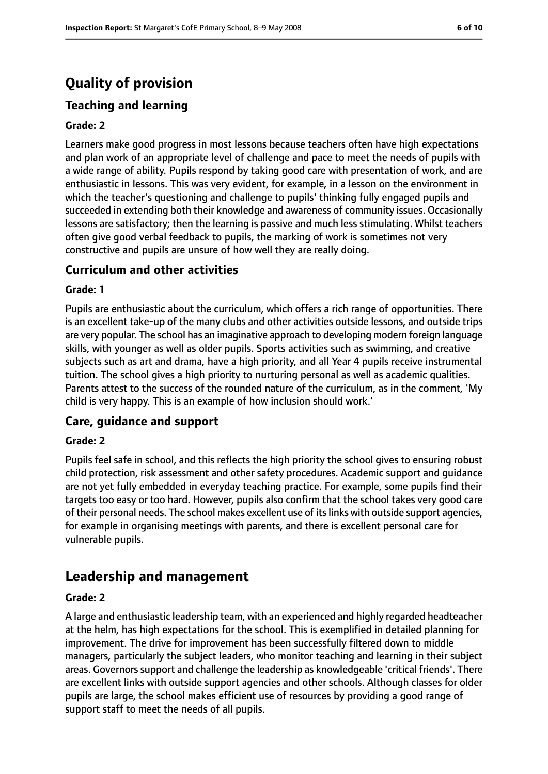# **Quality of provision**

# **Teaching and learning**

#### **Grade: 2**

Learners make good progress in most lessons because teachers often have high expectations and plan work of an appropriate level of challenge and pace to meet the needs of pupils with a wide range of ability. Pupils respond by taking good care with presentation of work, and are enthusiastic in lessons. This was very evident, for example, in a lesson on the environment in which the teacher's questioning and challenge to pupils' thinking fully engaged pupils and succeeded in extending both their knowledge and awareness of community issues. Occasionally lessons are satisfactory; then the learning is passive and much less stimulating. Whilst teachers often give good verbal feedback to pupils, the marking of work is sometimes not very constructive and pupils are unsure of how well they are really doing.

## **Curriculum and other activities**

#### **Grade: 1**

Pupils are enthusiastic about the curriculum, which offers a rich range of opportunities. There is an excellent take-up of the many clubs and other activities outside lessons, and outside trips are very popular. The school has an imaginative approach to developing modern foreign language skills, with younger as well as older pupils. Sports activities such as swimming, and creative subjects such as art and drama, have a high priority, and all Year 4 pupils receive instrumental tuition. The school gives a high priority to nurturing personal as well as academic qualities. Parents attest to the success of the rounded nature of the curriculum, as in the comment, 'My child is very happy. This is an example of how inclusion should work.'

## **Care, guidance and support**

#### **Grade: 2**

Pupils feel safe in school, and this reflects the high priority the school gives to ensuring robust child protection, risk assessment and other safety procedures. Academic support and guidance are not yet fully embedded in everyday teaching practice. For example, some pupils find their targets too easy or too hard. However, pupils also confirm that the school takes very good care of their personal needs. The school makes excellent use of itslinks with outside support agencies, for example in organising meetings with parents, and there is excellent personal care for vulnerable pupils.

# **Leadership and management**

#### **Grade: 2**

A large and enthusiastic leadership team, with an experienced and highly regarded headteacher at the helm, has high expectations for the school. This is exemplified in detailed planning for improvement. The drive for improvement has been successfully filtered down to middle managers, particularly the subject leaders, who monitor teaching and learning in their subject areas. Governorssupport and challenge the leadership as knowledgeable 'critical friends'. There are excellent links with outside support agencies and other schools. Although classes for older pupils are large, the school makes efficient use of resources by providing a good range of support staff to meet the needs of all pupils.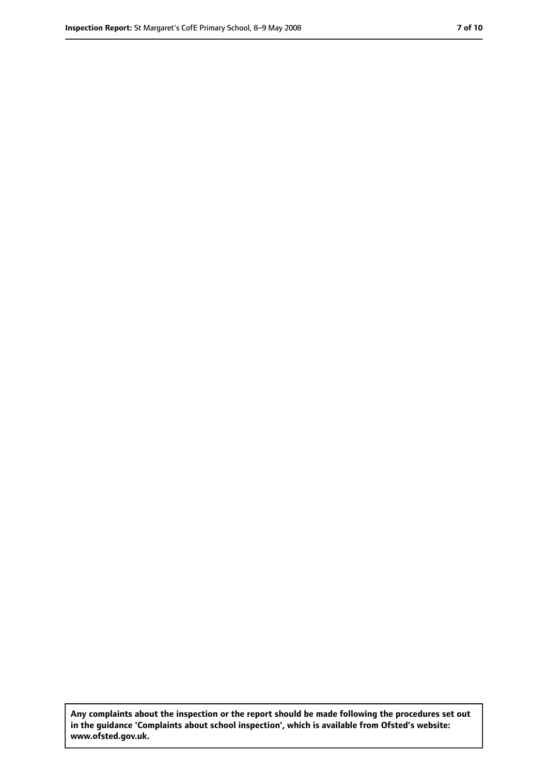**Any complaints about the inspection or the report should be made following the procedures set out in the guidance 'Complaints about school inspection', which is available from Ofsted's website: www.ofsted.gov.uk.**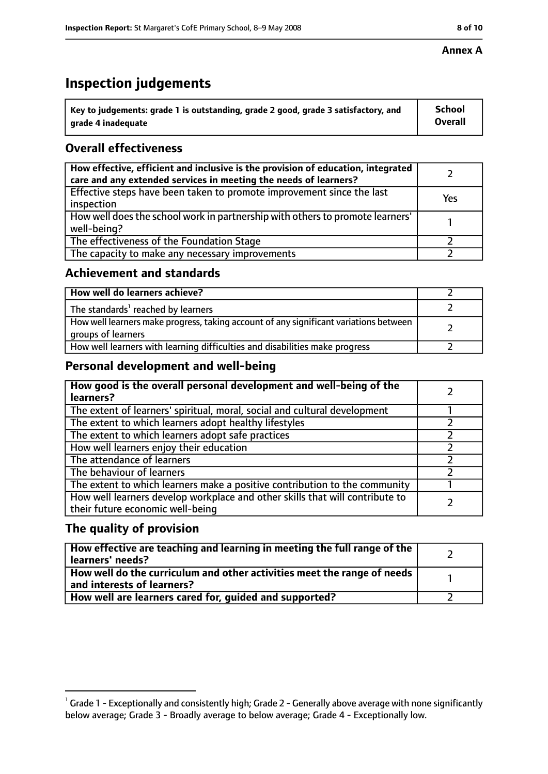# **Inspection judgements**

| $^{\backprime}$ Key to judgements: grade 1 is outstanding, grade 2 good, grade 3 satisfactory, and | <b>School</b>  |
|----------------------------------------------------------------------------------------------------|----------------|
| arade 4 inadeguate                                                                                 | <b>Overall</b> |

# **Overall effectiveness**

| How effective, efficient and inclusive is the provision of education, integrated<br>care and any extended services in meeting the needs of learners? |     |
|------------------------------------------------------------------------------------------------------------------------------------------------------|-----|
| Effective steps have been taken to promote improvement since the last<br>inspection                                                                  | Yes |
| How well does the school work in partnership with others to promote learners'<br>well-being?                                                         |     |
| The effectiveness of the Foundation Stage                                                                                                            |     |
| The capacity to make any necessary improvements                                                                                                      |     |

## **Achievement and standards**

| How well do learners achieve?                                                                               |  |
|-------------------------------------------------------------------------------------------------------------|--|
| The standards <sup>1</sup> reached by learners                                                              |  |
| How well learners make progress, taking account of any significant variations between<br>groups of learners |  |
| How well learners with learning difficulties and disabilities make progress                                 |  |

# **Personal development and well-being**

| How good is the overall personal development and well-being of the<br>learners?                                  |  |
|------------------------------------------------------------------------------------------------------------------|--|
| The extent of learners' spiritual, moral, social and cultural development                                        |  |
| The extent to which learners adopt healthy lifestyles                                                            |  |
| The extent to which learners adopt safe practices                                                                |  |
| How well learners enjoy their education                                                                          |  |
| The attendance of learners                                                                                       |  |
| The behaviour of learners                                                                                        |  |
| The extent to which learners make a positive contribution to the community                                       |  |
| How well learners develop workplace and other skills that will contribute to<br>their future economic well-being |  |

# **The quality of provision**

| How effective are teaching and learning in meeting the full range of the<br>learners' needs?          |  |
|-------------------------------------------------------------------------------------------------------|--|
| How well do the curriculum and other activities meet the range of needs<br>and interests of learners? |  |
| How well are learners cared for, guided and supported?                                                |  |

### **Annex A**

 $^1$  Grade 1 - Exceptionally and consistently high; Grade 2 - Generally above average with none significantly below average; Grade 3 - Broadly average to below average; Grade 4 - Exceptionally low.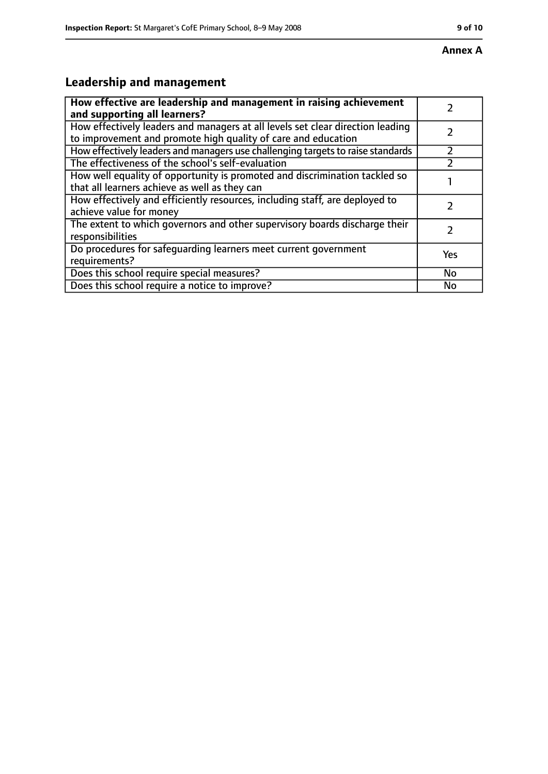# **Leadership and management**

| How effective are leadership and management in raising achievement<br>and supporting all learners?                                              |           |
|-------------------------------------------------------------------------------------------------------------------------------------------------|-----------|
| How effectively leaders and managers at all levels set clear direction leading<br>to improvement and promote high quality of care and education |           |
| How effectively leaders and managers use challenging targets to raise standards                                                                 |           |
| The effectiveness of the school's self-evaluation                                                                                               |           |
| How well equality of opportunity is promoted and discrimination tackled so<br>that all learners achieve as well as they can                     |           |
| How effectively and efficiently resources, including staff, are deployed to<br>achieve value for money                                          |           |
| The extent to which governors and other supervisory boards discharge their<br>responsibilities                                                  |           |
| Do procedures for safequarding learners meet current government<br>requirements?                                                                | Yes       |
| Does this school require special measures?                                                                                                      | <b>No</b> |
| Does this school require a notice to improve?                                                                                                   | No        |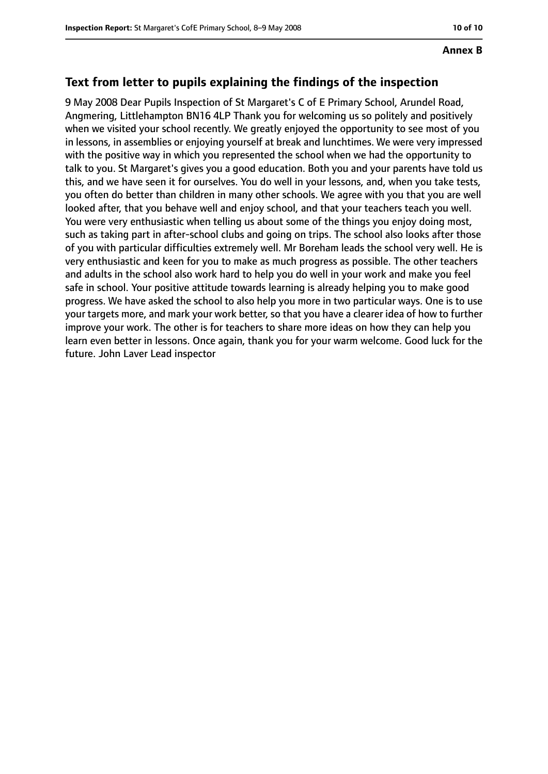#### **Text from letter to pupils explaining the findings of the inspection**

9 May 2008 Dear Pupils Inspection of St Margaret's C of E Primary School, Arundel Road, Angmering, Littlehampton BN16 4LP Thank you for welcoming us so politely and positively when we visited your school recently. We greatly enjoyed the opportunity to see most of you in lessons, in assemblies or enjoying yourself at break and lunchtimes. We were very impressed with the positive way in which you represented the school when we had the opportunity to talk to you. St Margaret's gives you a good education. Both you and your parents have told us this, and we have seen it for ourselves. You do well in your lessons, and, when you take tests, you often do better than children in many other schools. We agree with you that you are well looked after, that you behave well and enjoy school, and that your teachers teach you well. You were very enthusiastic when telling us about some of the things you enjoy doing most, such as taking part in after-school clubs and going on trips. The school also looks after those of you with particular difficulties extremely well. Mr Boreham leads the school very well. He is very enthusiastic and keen for you to make as much progress as possible. The other teachers and adults in the school also work hard to help you do well in your work and make you feel safe in school. Your positive attitude towards learning is already helping you to make good progress. We have asked the school to also help you more in two particular ways. One is to use your targets more, and mark your work better, so that you have a clearer idea of how to further improve your work. The other is for teachers to share more ideas on how they can help you learn even better in lessons. Once again, thank you for your warm welcome. Good luck for the future. John Laver Lead inspector